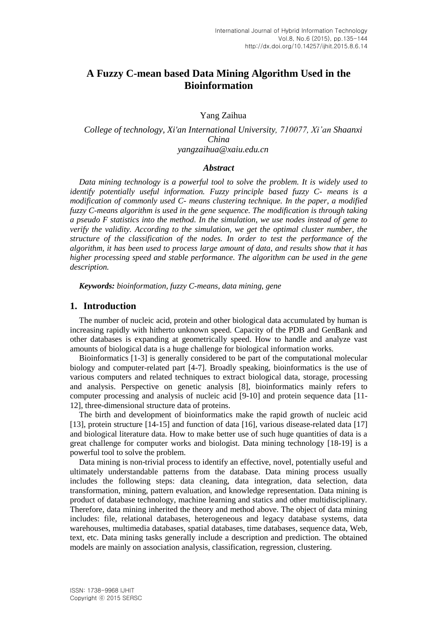# **A Fuzzy C-mean based Data Mining Algorithm Used in the Bioinformation**

Yang Zaihua

*College of technology, Xi'an International University, 710077, Xi'an Shaanxi China yangzaihua@xaiu.edu.cn*

#### *Abstract*

*Data mining technology is a powerful tool to solve the problem. It is widely used to identify potentially useful information. Fuzzy principle based fuzzy C- means is a modification of commonly used C- means clustering technique. In the paper, a modified fuzzy C-means algorithm is used in the gene sequence. The modification is through taking a pseudo F statistics into the method. In the simulation, we use nodes instead of gene to verify the validity. According to the simulation, we get the optimal cluster number, the structure of the classification of the nodes. In order to test the performance of the algorithm, it has been used to process large amount of data, and results show that it has higher processing speed and stable performance. The algorithm can be used in the gene description.*

*Keywords: bioinformation, fuzzy C-means, data mining, gene*

### **1. Introduction**

The number of nucleic acid, protein and other biological data accumulated by human is increasing rapidly with hitherto unknown speed. Capacity of the PDB and GenBank and other databases is expanding at geometrically speed. How to handle and analyze vast amounts of biological data is a huge challenge for biological information works.

Bioinformatics [1-3] is generally considered to be part of the computational molecular biology and computer-related part [4-7]. Broadly speaking, bioinformatics is the use of various computers and related techniques to extract biological data, storage, processing and analysis. Perspective on genetic analysis [8], bioinformatics mainly refers to computer processing and analysis of nucleic acid [9-10] and protein sequence data [11- 12], three-dimensional structure data of proteins.

The birth and development of bioinformatics make the rapid growth of nucleic acid [13], protein structure [14-15] and function of data [16], various disease-related data [17] and biological literature data. How to make better use of such huge quantities of data is a great challenge for computer works and biologist. Data mining technology [18-19] is a powerful tool to solve the problem.

Data mining is non-trivial process to identify an effective, novel, potentially useful and ultimately understandable patterns from the database. Data mining process usually includes the following steps: data cleaning, data integration, data selection, data transformation, mining, pattern evaluation, and knowledge representation. Data mining is product of database technology, machine learning and statics and other multidisciplinary. Therefore, data mining inherited the theory and method above. The object of data mining includes: file, relational databases, heterogeneous and legacy database systems, data warehouses, multimedia databases, spatial databases, time databases, sequence data, Web, text, etc. Data mining tasks generally include a description and prediction. The obtained models are mainly on association analysis, classification, regression, clustering.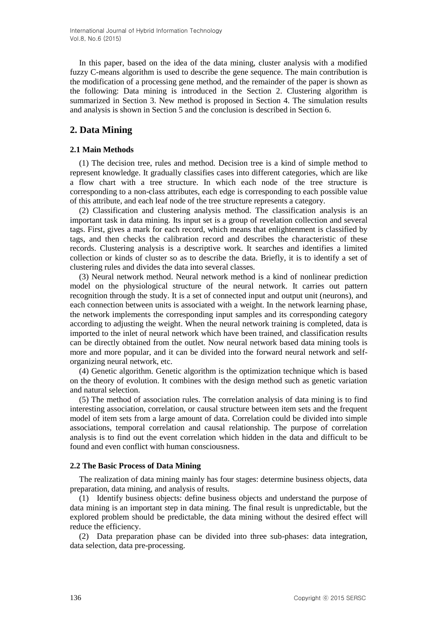In this paper, based on the idea of the data mining, cluster analysis with a modified fuzzy C-means algorithm is used to describe the gene sequence. The main contribution is the modification of a processing gene method, and the remainder of the paper is shown as the following: Data mining is introduced in the Section 2. Clustering algorithm is summarized in Section 3. New method is proposed in Section 4. The simulation results and analysis is shown in Section 5 and the conclusion is described in Section 6.

## **2. Data Mining**

### **2.1 Main Methods**

(1) The decision tree, rules and method. Decision tree is a kind of simple method to represent knowledge. It gradually classifies cases into different categories, which are like a flow chart with a tree structure. In which each node of the tree structure is corresponding to a non-class attributes, each edge is corresponding to each possible value of this attribute, and each leaf node of the tree structure represents a category.

(2) Classification and clustering analysis method. The classification analysis is an important task in data mining. Its input set is a group of revelation collection and several tags. First, gives a mark for each record, which means that enlightenment is classified by tags, and then checks the calibration record and describes the characteristic of these records. Clustering analysis is a descriptive work. It searches and identifies a limited collection or kinds of cluster so as to describe the data. Briefly, it is to identify a set of clustering rules and divides the data into several classes.

(3) Neural network method. Neural network method is a kind of nonlinear prediction model on the physiological structure of the neural network. It carries out pattern recognition through the study. It is a set of connected input and output unit (neurons), and each connection between units is associated with a weight. In the network learning phase, the network implements the corresponding input samples and its corresponding category according to adjusting the weight. When the neural network training is completed, data is imported to the inlet of neural network which have been trained, and classification results can be directly obtained from the outlet. Now neural network based data mining tools is more and more popular, and it can be divided into the forward neural network and selforganizing neural network, etc.

(4) Genetic algorithm. Genetic algorithm is the optimization technique which is based on the theory of evolution. It combines with the design method such as genetic variation and natural selection.

(5) The method of association rules. The correlation analysis of data mining is to find interesting association, correlation, or causal structure between item sets and the frequent model of item sets from a large amount of data. Correlation could be divided into simple associations, temporal correlation and causal relationship. The purpose of correlation analysis is to find out the event correlation which hidden in the data and difficult to be found and even conflict with human consciousness.

#### **2.2 The Basic Process of Data Mining**

The realization of data mining mainly has four stages: determine business objects, data preparation, data mining, and analysis of results.

(1) Identify business objects: define business objects and understand the purpose of data mining is an important step in data mining. The final result is unpredictable, but the explored problem should be predictable, the data mining without the desired effect will reduce the efficiency.

(2) Data preparation phase can be divided into three sub-phases: data integration, data selection, data pre-processing.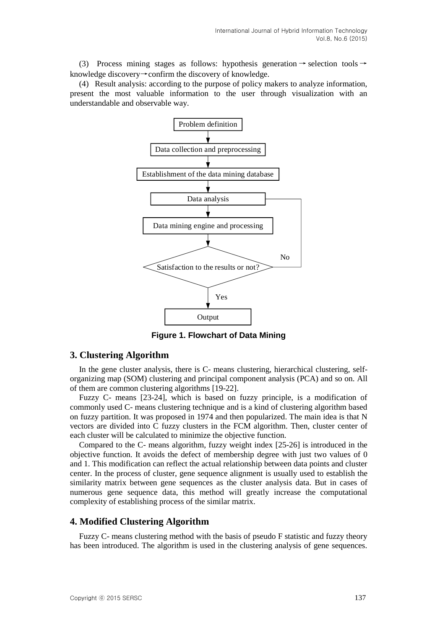(3) Process mining stages as follows: hypothesis generation  $\rightarrow$  selection tools  $\rightarrow$ knowledge discovery→confirm the discovery of knowledge.

(4) Result analysis: according to the purpose of policy makers to analyze information, present the most valuable information to the user through visualization with an understandable and observable way.



**Figure 1. Flowchart of Data Mining**

### **3. Clustering Algorithm**

In the gene cluster analysis, there is C- means clustering, hierarchical clustering, selforganizing map (SOM) clustering and principal component analysis (PCA) and so on. All of them are common clustering algorithms [19-22].

Fuzzy C- means [23-24], which is based on fuzzy principle, is a modification of commonly used C- means clustering technique and is a kind of clustering algorithm based on fuzzy partition. It was proposed in 1974 and then popularized. The main idea is that N vectors are divided into C fuzzy clusters in the FCM algorithm. Then, cluster center of each cluster will be calculated to minimize the objective function.

Compared to the C- means algorithm, fuzzy weight index [25-26] is introduced in the objective function. It avoids the defect of membership degree with just two values of 0 and 1. This modification can reflect the actual relationship between data points and cluster center. In the process of cluster, gene sequence alignment is usually used to establish the similarity matrix between gene sequences as the cluster analysis data. But in cases of numerous gene sequence data, this method will greatly increase the computational complexity of establishing process of the similar matrix.

#### **4. Modified Clustering Algorithm**

Fuzzy C- means clustering method with the basis of pseudo F statistic and fuzzy theory has been introduced. The algorithm is used in the clustering analysis of gene sequences.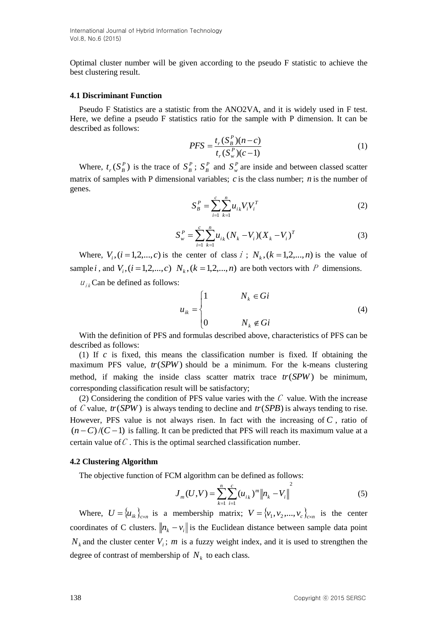International Journal of Hybrid Information Technology Vol.8, No.6 (2015)

Optimal cluster number will be given according to the pseudo F statistic to achieve the best clustering result.

#### **4.1 Discriminant Function**

Pseudo F Statistics are a statistic from the ANO2VA, and it is widely used in F test. Here, we define a pseudo F statistics ratio for the sample with P dimension. It can be described as follows:

$$
PFS = \frac{t_r (S_B^P)(n-c)}{t_r (S_F^P)(c-1)}
$$
(1)

Where,  $t_r$ ( $S_B^P$ ) is the trace of  $S_B^P$ ;  $S_B^P$  and  $S_w^P$  are inside and between classed scatter matrix of samples with P dimensional variables;  $c$  is the class number;  $n$  is the number of genes.

$$
S_B^P = \sum_{i=1}^c \sum_{k=1}^n u_{ik} V_i V_i^T
$$
 (2)

$$
S_w^P = \sum_{i=1}^c \sum_{k=1}^n u_{ik} (N_k - V_i) (X_k - V_i)^T
$$
 (3)

Where,  $V_i$ ,  $(i = 1, 2, \dots, c)$  is the center of class  $i$ ;  $N_k$ ,  $(k = 1, 2, \dots, n)$  is the value of sample *i*, and  $V_i$ ,  $(i = 1, 2, \dots, c)$   $N_k$ ,  $(k = 1, 2, \dots, n)$  are both vectors with P dimensions.

 $u_{ik}$ Can be defined as follows:

$$
u_{ik} = \begin{cases} 1 & N_k \in Gi \\ 0 & N_k \notin Gi \end{cases}
$$
 (4)

With the definition of PFS and formulas described above, characteristics of PFS can be described as follows:

(1) If  $c$  is fixed, this means the classification number is fixed. If obtaining the maximum PFS value, *tr*(*SPW*) should be a minimum. For the k-means clustering method, if making the inside class scatter matrix trace *tr*(*SPW*) be minimum, corresponding classification result will be satisfactory;

(2) Considering the condition of PFS value varies with the  $C$  value. With the increase of C value, *tr*(*SPW*) is always tending to decline and *tr*(*SPB*) is always tending to rise. However, PFS value is not always risen. In fact with the increasing of *C* , ratio of  $(n-C)/(C-1)$  is falling. It can be predicted that PFS will reach its maximum value at a certain value of  $C$ . This is the optimal searched classification number.

#### **4.2 Clustering Algorithm**

The objective function of FCM algorithm can be defined as follows:

$$
J_m(U, V) = \sum_{k=1}^{n} \sum_{i=1}^{c} (u_{ik})^m ||n_k - V_i||^2
$$
 (5)

Where,  $U = \{u_{ik}\}_{k \in \mathbb{Z}}$  is a membership matrix;  $V = \{v_1, v_2, ..., v_c\}_{c \times n}$  is the center coordinates of C clusters.  $\Vert n_k - v_i \Vert$  is the Euclidean distance between sample data point  $N_k$  and the cluster center  $V_i$ ; *m* is a fuzzy weight index, and it is used to strengthen the degree of contrast of membership of  $N_k$  to each class.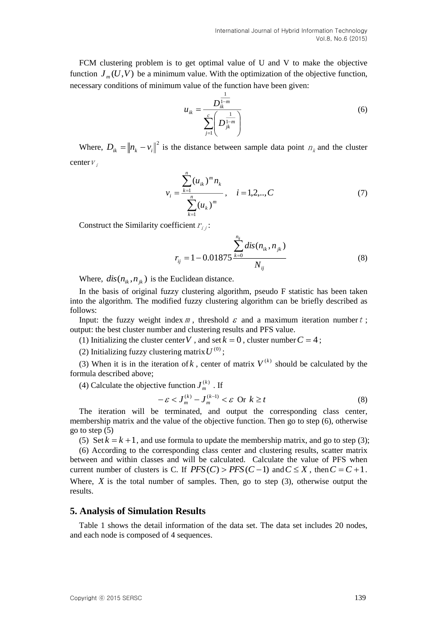FCM clustering problem is to get optimal value of U and V to make the objective function  $J_m(U, V)$  be a minimum value. With the optimization of the objective function, necessary conditions of minimum value of the function have been given:

$$
u_{ik} = \frac{D_{ik}^{\frac{1}{1-m}}}{\sum_{j=1}^{c} \left(D_{jk}^{\frac{1}{1-m}}\right)}
$$
(6)

Where,  $D_{ik} = ||n_k - v_i||^2$  is the distance between sample data point  $n_k$  and the cluster center  $V_i$ 

$$
v_i = \frac{\sum_{k=1}^{n} (u_{ik})^m n_k}{\sum_{k=1}^{n} (u_k)^m}, \quad i = 1, 2, \dots, C
$$
 (7)

Construct the Similarity coefficient  $r_{ij}$ :

$$
r_{ij} = 1 - 0.01875 \frac{\sum_{k=0}^{n_{ij}} dis(n_{ik}, n_{jk})}{N_{ij}}
$$
(8)

Where,  $dis(n_{ik}, n_{jk})$  is the Euclidean distance.

In the basis of original fuzzy clustering algorithm, pseudo F statistic has been taken into the algorithm. The modified fuzzy clustering algorithm can be briefly described as follows:

Input: the fuzzy weight index  $m$ , threshold  $\varepsilon$  and a maximum iteration number  $t$ ; output: the best cluster number and clustering results and PFS value.

(1) Initializing the cluster center V, and set  $k = 0$ , cluster number  $C = 4$ ;

(2) Initializing fuzzy clustering matrix  $U^{(0)}$ ;

(3) When it is in the iteration of k, center of matrix  $V^{(k)}$  should be calculated by the formula described above;

(4) Calculate the objective function  $J_m^{(k)}$ . If

$$
-\varepsilon < J_m^{(k)} - J_m^{(k-1)} < \varepsilon \text{ Or } k \ge t
$$
 (8)

The iteration will be terminated, and output the corresponding class center, membership matrix and the value of the objective function. Then go to step (6), otherwise go to step (5)

(5) Set  $k = k + 1$ , and use formula to update the membership matrix, and go to step (3);

(6) According to the corresponding class center and clustering results, scatter matrix between and within classes and will be calculated. Calculate the value of PFS when current number of clusters is C. If  $PFS(C) > PFS(C-1)$  and  $C \le X$ , then  $C = C + 1$ . Where,  $X$  is the total number of samples. Then, go to step  $(3)$ , otherwise output the results.

#### **5. Analysis of Simulation Results**

Table 1 shows the detail information of the data set. The data set includes 20 nodes, and each node is composed of 4 sequences.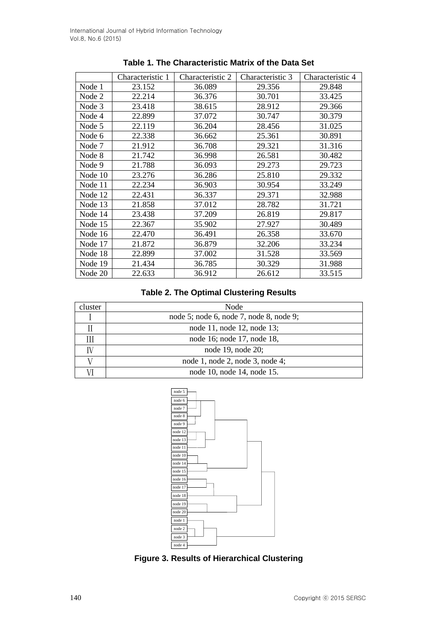|         | Characteristic 1 | Characteristic 2 | Characteristic 3 | Characteristic 4 |
|---------|------------------|------------------|------------------|------------------|
| Node 1  | 23.152           | 36.089           | 29.356           | 29.848           |
| Node 2  | 22.214           | 36.376           | 30.701           | 33.425           |
| Node 3  | 23.418           | 38.615           | 28.912           | 29.366           |
| Node 4  | 22.899           | 37.072           | 30.747           | 30.379           |
| Node 5  | 22.119           | 36.204           | 28.456           | 31.025           |
| Node 6  | 22.338           | 36.662           | 25.361           | 30.891           |
| Node 7  | 21.912           | 36.708           | 29.321           | 31.316           |
| Node 8  | 21.742           | 36.998           | 26.581           | 30.482           |
| Node 9  | 21.788           | 36.093           | 29.273           | 29.723           |
| Node 10 | 23.276           | 36.286           | 25.810           | 29.332           |
| Node 11 | 22.234           | 36.903           | 30.954           | 33.249           |
| Node 12 | 22.431           | 36.337           | 29.371           | 32.988           |
| Node 13 | 21.858           | 37.012           | 28.782           | 31.721           |
| Node 14 | 23.438           | 37.209           | 26.819           | 29.817           |
| Node 15 | 22.367           | 35.902           | 27.927           | 30.489           |
| Node 16 | 22.470           | 36.491           | 26.358           | 33.670           |
| Node 17 | 21.872           | 36.879           | 32.206           | 33.234           |
| Node 18 | 22.899           | 37.002           | 31.528           | 33.569           |
| Node 19 | 21.434           | 36.785           | 30.329           | 31.988           |
| Node 20 | 22.633           | 36.912           | 26.612           | 33.515           |

|  | Table 1. The Characteristic Matrix of the Data Set |  |  |
|--|----------------------------------------------------|--|--|
|--|----------------------------------------------------|--|--|

# **Table 2. The Optimal Clustering Results**

| cluster | Node                                    |  |  |
|---------|-----------------------------------------|--|--|
|         | node 5; node 6, node 7, node 8, node 9; |  |  |
|         | node 11, node 12, node 13;              |  |  |
|         | node 16; node 17, node 18,              |  |  |
|         | node 19, node 20;                       |  |  |
|         | node 1, node 2, node 3, node 4;         |  |  |
|         | node 10, node 14, node 15.              |  |  |



**Figure 3. Results of Hierarchical Clustering**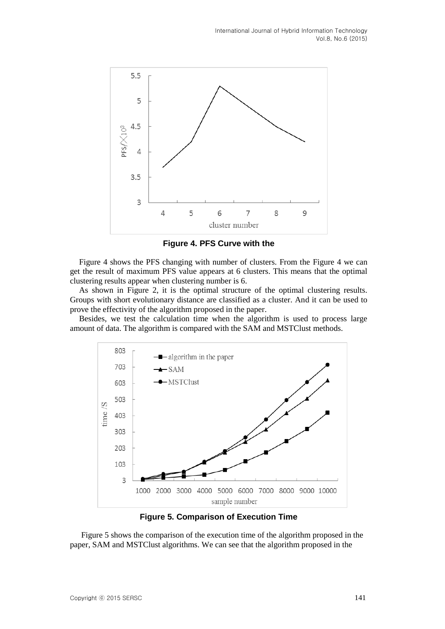

**Figure 4. PFS Curve with the** 

Figure 4 shows the PFS changing with number of clusters. From the Figure 4 we can get the result of maximum PFS value appears at 6 clusters. This means that the optimal clustering results appear when clustering number is 6.

As shown in Figure 2, it is the optimal structure of the optimal clustering results. Groups with short evolutionary distance are classified as a cluster. And it can be used to prove the effectivity of the algorithm proposed in the paper.

Besides, we test the calculation time when the algorithm is used to process large amount of data. The algorithm is compared with the SAM and MSTClust methods.



**Figure 5. Comparison of Execution Time**

Figure 5 shows the comparison of the execution time of the algorithm proposed in the paper, SAM and MSTClust algorithms. We can see that the algorithm proposed in the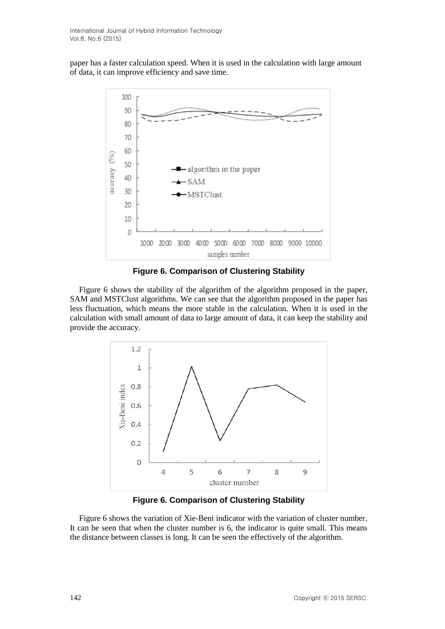paper has a faster calculation speed. When it is used in the calculation with large amount of data, it can improve efficiency and save time.



**Figure 6. Comparison of Clustering Stability**

Figure 6 shows the stability of the algorithm of the algorithm proposed in the paper, SAM and MSTClust algorithms. We can see that the algorithm proposed in the paper has less fluctuation, which means the more stable in the calculation. When it is used in the calculation with small amount of data to large amount of data, it can keep the stability and provide the accuracy.



**Figure 6. Comparison of Clustering Stability**

Figure 6 shows the variation of Xie-Beni indicator with the variation of cluster number. It can be seen that when the cluster number is 6, the indicator is quite small. This means the distance between classes is long. It can be seen the effectively of the algorithm.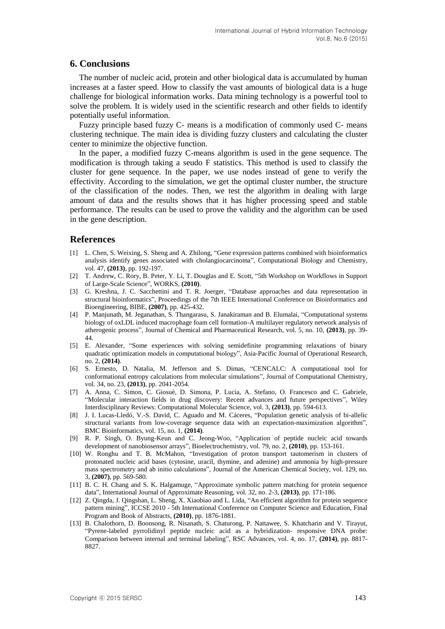### **6. Conclusions**

The number of nucleic acid, protein and other biological data is accumulated by human increases at a faster speed. How to classify the vast amounts of biological data is a huge challenge for biological information works. Data mining technology is a powerful tool to solve the problem. It is widely used in the scientific research and other fields to identify potentially useful information.

Fuzzy principle based fuzzy C- means is a modification of commonly used C- means clustering technique. The main idea is dividing fuzzy clusters and calculating the cluster center to minimize the objective function.

In the paper, a modified fuzzy C-means algorithm is used in the gene sequence. The modification is through taking a seudo F statistics. This method is used to classify the cluster for gene sequence. In the paper, we use nodes instead of gene to verify the effectivity. According to the simulation, we get the optimal cluster number, the structure of the classification of the nodes. Then, we test the algorithm in dealing with large amount of data and the results shows that it has higher processing speed and stable performance. The results can be used to prove the validity and the algorithm can be used in the gene description.

#### **References**

- [1] L. Chen, S. Weixing, S. Sheng and A. Zhilong, "Gene expression patterns combined with bioinformatics analysis identify genes associated with cholangiocarcinoma", Computational Biology and Chemistry, vol. 47, **(2013)**, pp. 192-197.
- [2] T. Andrew, C. Rory, B. Peter, Y. Li, T. Douglas and E. Scott, "5th Workshop on Workflows in Support of Large-Scale Science", WORKS, **(2010)**.
- [3] G. Kreshna, J. C. Sacchettini and T. R. Joerger, "Database approaches and data representation in structural bioinformatics", Proceedings of the 7th IEEE International Conference on Bioinformatics and Bioengineering, BIBE, **(2007)**, pp. 425-432.
- [4] P. Manjunath, M. Jeganathan, S. Thangarasu, S. Janakiraman and B. Elumalai, "Computational systems biology of oxLDL induced macrophage foam cell formation-A multilayer regulatory network analysis of atherogenic process", Journal of Chemical and Pharmaceutical Research, vol. 5, no. 10, **(2013)**, pp. 39- 44.
- [5] E. Alexander, "Some experiences with solving semidefinite programming relaxations of binary quadratic optimization models in computational biology", Asia-Pacific Journal of Operational Research, no. 2, **(2014)**.
- [6] S. Ernesto, D. Natalia, M. Jefferson and S. Dimas, "CENCALC: A computational tool for conformational entropy calculations from molecular simulations", Journal of Computational Chemistry, vol. 34, no. 23, **(2013)**, pp. 2041-2054.
- [7] A. Anna, C. Simon, C. Giosuè, D. Simona, P. Lucia, A. Stefano, O. Francesco and C. Gabriele, "Molecular interaction fields in drug discovery: Recent advances and future perspectives", Wiley Interdisciplinary Reviews: Computational Molecular Science, vol. 3, **(2013)**, pp. 594-613.
- [8] J. I. Lucas-Lledó, V.-S. David, C. Aguado and M. Cáceres, "Population genetic analysis of bi-allelic structural variants from low-coverage sequence data with an expectation-maximization algorithm", BMC Bioinformatics, vol. 15, no. 1, **(2014)**.
- [9] R. P. Singh, O. Byung-Keun and C. Jeong-Woo, "Application of peptide nucleic acid towards development of nanobiosensor arrays", Bioelectrochemistry, vol. 79, no. 2, **(2010)**, pp. 153-161.
- [10] W. Ronghu and T. B. McMahon, "Investigation of proton transport tautomerism in clusters of protonated nucleic acid bases (cytosine, uracil, thymine, and adenine) and ammonia by high-pressure mass spectrometry and ab initio calculations", Journal of the American Chemical Society, vol. 129, no. 3, **(2007)**, pp. 569-580.
- [11] B. C. H. Chang and S. K. Halgamuge, "Approximate symbolic pattern matching for protein sequence data", International Journal of Approximate Reasoning, vol. 32, no. 2-3, **(2013)**, pp. 171-186.
- [12] Z. Qingda, J. Qingshan, L. Sheng, X. Xiaobiao and L. Lida, "An efficient algorithm for protein sequence pattern mining", ICCSE 2010 - 5th International Conference on Computer Science and Education, Final Program and Book of Abstracts, **(2010)**, pp. 1876-1881.
- [13] B. Chalothorn, D. Boonsong, R. Nisanath, S. Chaturong, P. Nattawee, S. Khatcharin and V. Tirayut, "Pyrene-labeled pyrrolidinyl peptide nucleic acid as a hybridization- responsive DNA probe: Comparison between internal and terminal labeling", RSC Advances, vol. 4, no. 17, **(2014)**, pp. 8817- 8827.